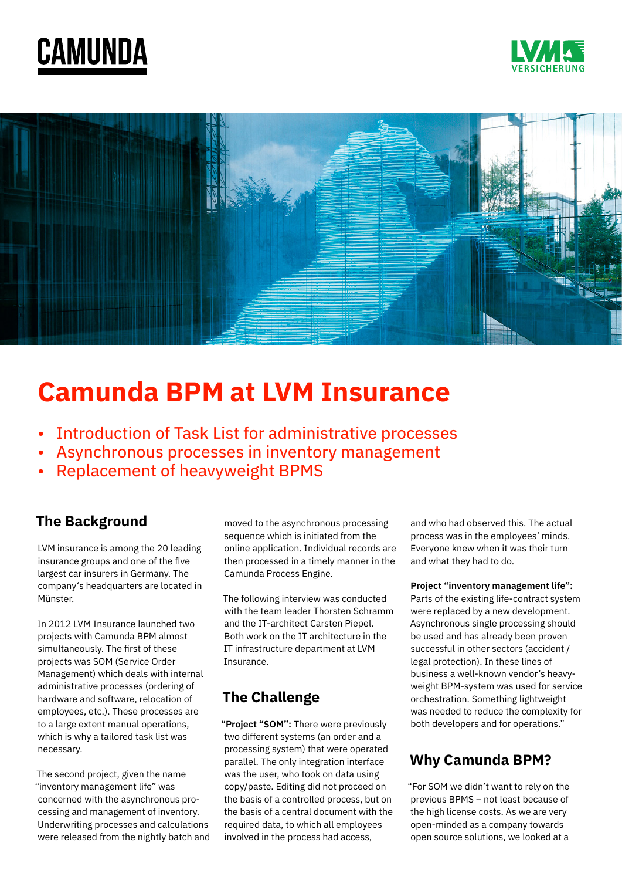





# **Camunda BPM at LVM Insurance**

- Introduction of Task List for administrative processes
- Asynchronous processes in inventory management
- Replacement of heavyweight BPMS

#### **The Background**

LVM insurance is among the 20 leading insurance groups and one of the five largest car insurers in Germany. The company's headquarters are located in Münster.

In 2012 LVM Insurance launched two projects with Camunda BPM almost simultaneously. The first of these projects was SOM (Service Order Management) which deals with internal administrative processes (ordering of hardware and software, relocation of employees, etc.). These processes are to a large extent manual operations, which is why a tailored task list was necessary.

The second project, given the name "inventory management life" was concerned with the asynchronous processing and management of inventory. Underwriting processes and calculations were released from the nightly batch and moved to the asynchronous processing sequence which is initiated from the online application. Individual records are then processed in a timely manner in the Camunda Process Engine.

The following interview was conducted with the team leader Thorsten Schramm and the IT-architect Carsten Piepel. Both work on the IT architecture in the IT infrastructure department at LVM Insurance.

## **The Challenge**

"**Project "SOM":** There were previously two different systems (an order and a processing system) that were operated parallel. The only integration interface was the user, who took on data using copy/paste. Editing did not proceed on the basis of a controlled process, but on the basis of a central document with the required data, to which all employees involved in the process had access,

and who had observed this. The actual process was in the employees' minds. Everyone knew when it was their turn and what they had to do.

**Project "inventory management life":** Parts of the existing life-contract system were replaced by a new development. Asynchronous single processing should be used and has already been proven successful in other sectors (accident / legal protection). In these lines of business a well-known vendor's heavyweight BPM-system was used for service orchestration. Something lightweight was needed to reduce the complexity for both developers and for operations."

### **Why Camunda BPM?**

"For SOM we didn't want to rely on the previous BPMS – not least because of the high license costs. As we are very open-minded as a company towards open source solutions, we looked at a